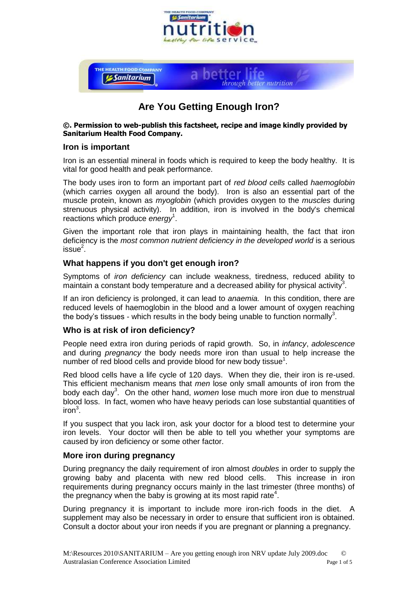



## **Are You Getting Enough Iron?**

#### **©. Permission to web-publish this factsheet, recipe and image kindly provided by Sanitarium Health Food Company.**

#### **Iron is important**

Iron is an essential mineral in foods which is required to keep the body healthy. It is vital for good health and peak performance.

The body uses iron to form an important part of *red blood cells* called *haemoglobin* (which carries oxygen all around the body). Iron is also an essential part of the muscle protein, known as *myoglobin* (which provides oxygen to the *muscles* during strenuous physical activity). In addition, iron is involved in the body's chemical reactions which produce *energy*<sup>1</sup> .

Given the important role that iron plays in maintaining health, the fact that iron deficiency is the *most common nutrient deficiency in the developed world* is a serious issue $^2$ .

#### **What happens if you don't get enough iron?**

Symptoms of *iron deficiency* can include weakness, tiredness, reduced ability to maintain a constant body temperature and a decreased ability for physical activity<sup>3</sup>.

If an iron deficiency is prolonged, it can lead to *anaemia.* In this condition, there are reduced levels of haemoglobin in the blood and a lower amount of oxygen reaching the body's tissues - which results in the body being unable to function normally<sup>3</sup>.

#### **Who is at risk of iron deficiency?**

People need extra iron during periods of rapid growth. So, in *infancy*, *adolescence* and during *pregnancy* the body needs more iron than usual to help increase the number of red blood cells and provide blood for new body tissue $^1$ .

Red blood cells have a life cycle of 120 days. When they die, their iron is re-used. This efficient mechanism means that *men* lose only small amounts of iron from the body each day<sup>3</sup>. On the other hand, *women* lose much more iron due to menstrual blood loss. In fact, women who have heavy periods can lose substantial quantities of iron $^3$ .

If you suspect that you lack iron, ask your doctor for a blood test to determine your iron levels. Your doctor will then be able to tell you whether your symptoms are caused by iron deficiency or some other factor.

## **More iron during pregnancy**

During pregnancy the daily requirement of iron almost *doubles* in order to supply the growing baby and placenta with new red blood cells. This increase in iron requirements during pregnancy occurs mainly in the last trimester (three months) of the pregnancy when the baby is growing at its most rapid rate<sup>4</sup>.

During pregnancy it is important to include more iron-rich foods in the diet. A supplement may also be necessary in order to ensure that sufficient iron is obtained. Consult a doctor about your iron needs if you are pregnant or planning a pregnancy.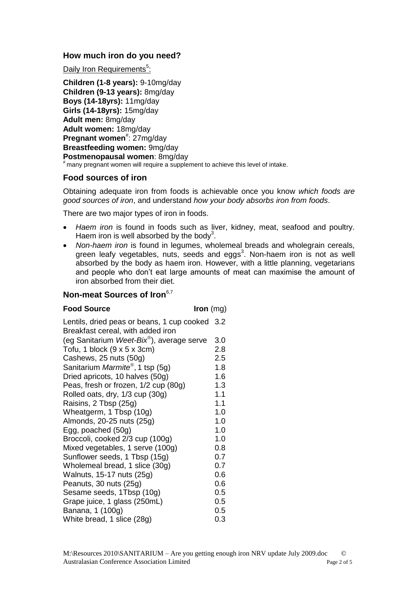## **How much iron do you need?**

Daily Iron Requirements<sup>5</sup>:

**Children (1-8 years):** 9-10mg/day **Children (9-13 years):** 8mg/day **Boys (14-18yrs):** 11mg/day **Girls (14-18yrs):** 15mg/day **Adult men:** 8mg/day **Adult women:** 18mg/day Pregnant women<sup>#</sup>: 27mg/day **Breastfeeding women:** 9mg/day **Postmenopausal women**: 8mg/day # many pregnant women will require a supplement to achieve this level of intake.

#### **Food sources of iron**

Obtaining adequate iron from foods is achievable once you know *which foods are good sources of iron*, and understand *how your body absorbs iron from foods*.

There are two major types of iron in foods.

- *Haem iron* is found in foods such as liver, kidney, meat, seafood and poultry. Haem iron is well absorbed by the body<sup>3</sup>.
- *Non-haem iron* is found in legumes, wholemeal breads and wholegrain cereals, green leafy vegetables, nuts, seeds and eggs<sup>3</sup>. Non-haem iron is not as well absorbed by the body as haem iron. However, with a little planning, vegetarians and people who don't eat large amounts of meat can maximise the amount of iron absorbed from their diet.

#### **Non-meat Sources of Iron**6,7

#### **Food Source Iron** (mg)

| Lentils, dried peas or beans, 1 cup cooked 3.2<br>Breakfast cereal, with added iron |     |
|-------------------------------------------------------------------------------------|-----|
| (eg Sanitarium Weet-Bix®), average serve                                            | 3.0 |
| Tofu, 1 block $(9 \times 5 \times 3$ cm)                                            | 2.8 |
| Cashews, 25 nuts (50g)                                                              | 2.5 |
| Sanitarium Marmite®, 1 tsp (5g)                                                     | 1.8 |
| Dried apricots, 10 halves (50g)                                                     | 1.6 |
| Peas, fresh or frozen, 1/2 cup (80g)                                                | 1.3 |
| Rolled oats, dry, 1/3 cup (30g)                                                     | 1.1 |
| Raisins, 2 Tbsp (25g)                                                               | 1.1 |
| Wheatgerm, 1 Tbsp (10g)                                                             | 1.0 |
| Almonds, 20-25 nuts (25g)                                                           | 1.0 |
| Egg, poached (50g)                                                                  | 1.0 |
| Broccoli, cooked 2/3 cup (100g)                                                     | 1.0 |
| Mixed vegetables, 1 serve (100g)                                                    | 0.8 |
| Sunflower seeds, 1 Tbsp (15g)                                                       | 0.7 |
| Wholemeal bread, 1 slice (30g)                                                      | 0.7 |
| Walnuts, 15-17 nuts (25g)                                                           | 0.6 |
| Peanuts, 30 nuts (25g)                                                              | 0.6 |
| Sesame seeds, 1Tbsp (10g)                                                           | 0.5 |
| Grape juice, 1 glass (250mL)                                                        | 0.5 |
| Banana, 1 (100g)                                                                    | 0.5 |
| White bread, 1 slice (28g)                                                          | 0.3 |
|                                                                                     |     |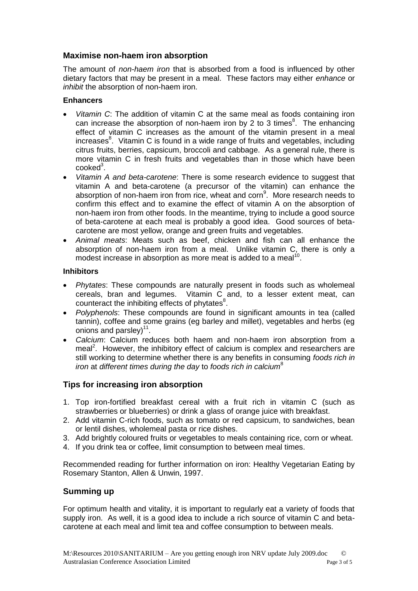## **Maximise non-haem iron absorption**

The amount of *non-haem iron* that is absorbed from a food is influenced by other dietary factors that may be present in a meal. These factors may either *enhance* or *inhibit* the absorption of non-haem iron.

#### **Enhancers**

- *Vitamin C*: The addition of vitamin C at the same meal as foods containing iron can increase the absorption of non-haem iron by 2 to 3 times<sup>8</sup>. The enhancing effect of vitamin C increases as the amount of the vitamin present in a meal increases<sup>8</sup>. Vitamin C is found in a wide range of fruits and vegetables, including citrus fruits, berries, capsicum, broccoli and cabbage. As a general rule, there is more vitamin C in fresh fruits and vegetables than in those which have been  $\mathsf{cooked}^3$ .
- *Vitamin A and beta-carotene*: There is some research evidence to suggest that vitamin A and beta-carotene (a precursor of the vitamin) can enhance the absorption of non-haem iron from rice, wheat and corn<sup>9</sup>. More research needs to confirm this effect and to examine the effect of vitamin A on the absorption of non-haem iron from other foods. In the meantime, trying to include a good source of beta-carotene at each meal is probably a good idea. Good sources of betacarotene are most yellow, orange and green fruits and vegetables.
- *Animal meats*: Meats such as beef, chicken and fish can all enhance the absorption of non-haem iron from a meal. Unlike vitamin  $C_i$  there is only a modest increase in absorption as more meat is added to a meal<sup>1</sup> .

#### **Inhibitors**

- *Phytates*: These compounds are naturally present in foods such as wholemeal cereals, bran and legumes. Vitamin C and, to a lesser extent meat, can counteract the inhibiting effects of phytates $8$ .
- *Polyphenols*: These compounds are found in significant amounts in tea (called tannin), coffee and some grains (eg barley and millet), vegetables and herbs (eg onions and parsley) $^{11}$ .
- *Calcium*: Calcium reduces both haem and non-haem iron absorption from a meal<sup>2</sup>. However, the inhibitory effect of calcium is complex and researchers are still working to determine whether there is any benefits in consuming *foods rich in iron* at *different times during the day* to *foods rich in calcium*<sup>8</sup>

## **Tips for increasing iron absorption**

- 1. Top iron-fortified breakfast cereal with a fruit rich in vitamin C (such as strawberries or blueberries) or drink a glass of orange juice with breakfast.
- 2. Add vitamin C-rich foods, such as tomato or red capsicum, to sandwiches, bean or lentil dishes, wholemeal pasta or rice dishes.
- 3. Add brightly coloured fruits or vegetables to meals containing rice, corn or wheat.
- 4. If you drink tea or coffee, limit consumption to between meal times.

Recommended reading for further information on iron: Healthy Vegetarian Eating by Rosemary Stanton, Allen & Unwin, 1997.

## **Summing up**

For optimum health and vitality, it is important to regularly eat a variety of foods that supply iron. As well, it is a good idea to include a rich source of vitamin C and betacarotene at each meal and limit tea and coffee consumption to between meals.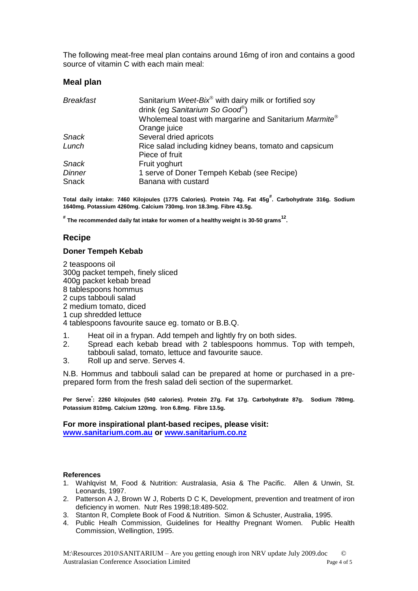The following meat-free meal plan contains around 16mg of iron and contains a good source of vitamin C with each main meal:

#### **Meal plan**

| <b>Breakfast</b>               | Sanitarium Weet-Bix <sup>®</sup> with dairy milk or fortified soy |  |
|--------------------------------|-------------------------------------------------------------------|--|
| drink (eg Sanitarium So Good®) |                                                                   |  |
|                                | Wholemeal toast with margarine and Sanitarium Marmite®            |  |
| Orange juice                   |                                                                   |  |
| Several dried apricots         |                                                                   |  |
|                                | Rice salad including kidney beans, tomato and capsicum            |  |
| Piece of fruit                 |                                                                   |  |
| Fruit yoghurt                  |                                                                   |  |
|                                | 1 serve of Doner Tempeh Kebab (see Recipe)                        |  |
| Banana with custard            |                                                                   |  |
|                                |                                                                   |  |

**Total daily intake: 7460 Kilojoules (1775 Calories). Protein 74g. Fat 45g# . Carbohydrate 316g. Sodium 1640mg. Potassium 4260mg. Calcium 730mg. Iron 18.3mg. Fibre 43.5g.**

**# The recommended daily fat intake for women of a healthy weight is 30-50 grams<sup>12</sup> .**

#### **Recipe**

#### **Doner Tempeh Kebab**

2 teaspoons oil 300g packet tempeh, finely sliced 400g packet kebab bread 8 tablespoons hommus 2 cups tabbouli salad 2 medium tomato, diced 1 cup shredded lettuce

4 tablespoons favourite sauce eg. tomato or B.B.Q.

- 1. Heat oil in a frypan. Add tempeh and lightly fry on both sides.
- 2. Spread each kebab bread with 2 tablespoons hommus. Top with tempeh, tabbouli salad, tomato, lettuce and favourite sauce.
- 3. Roll up and serve. Serves 4.

N.B. Hommus and tabbouli salad can be prepared at home or purchased in a preprepared form from the fresh salad deli section of the supermarket.

**Per Serve\* : 2260 kilojoules (540 calories). Protein 27g. Fat 17g. Carbohydrate 87g. Sodium 780mg. Potassium 810mg. Calcium 120mg. Iron 6.8mg. Fibre 13.5g.**

# **For more inspirational plant-based recipes, please visit:**

**[www.sanitarium.com.au](http://www.sanitarium.com.au/) or [www.sanitarium.co.nz](http://www.sanitarium.co.nz/)**

#### **References**

- 1. Wahlqvist M, Food & Nutrition: Australasia, Asia & The Pacific. Allen & Unwin, St. Leonards, 1997.
- 2. Patterson A J, Brown W J, Roberts D C K, Development, prevention and treatment of iron deficiency in women. Nutr Res 1998;18:489-502.
- 3. Stanton R, Complete Book of Food & Nutrition. Simon & Schuster, Australia, 1995.
- 4. Public Healh Commission, Guidelines for Healthy Pregnant Women. Public Health Commission, Wellingtion, 1995.